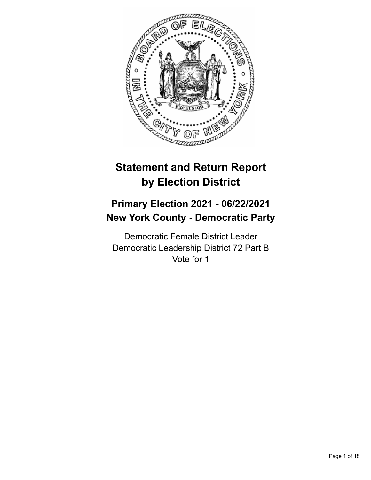

# **Statement and Return Report by Election District**

# **Primary Election 2021 - 06/22/2021 New York County - Democratic Party**

Democratic Female District Leader Democratic Leadership District 72 Part B Vote for 1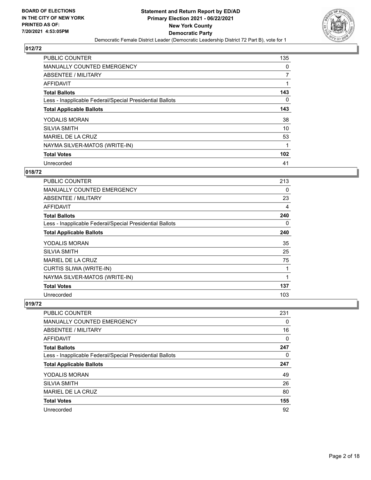

| PUBLIC COUNTER                                           | 135      |
|----------------------------------------------------------|----------|
| <b>MANUALLY COUNTED EMERGENCY</b>                        | 0        |
| ABSENTEE / MILITARY                                      | 7        |
| <b>AFFIDAVIT</b>                                         |          |
| <b>Total Ballots</b>                                     | 143      |
| Less - Inapplicable Federal/Special Presidential Ballots | $\Omega$ |
| <b>Total Applicable Ballots</b>                          | 143      |
| <b>YODALIS MORAN</b>                                     | 38       |
| <b>SILVIA SMITH</b>                                      | 10       |
| MARIEL DE LA CRUZ                                        | 53       |
| NAYMA SILVER-MATOS (WRITE-IN)                            |          |
| <b>Total Votes</b>                                       | 102      |
| Unrecorded                                               | 41       |

## **018/72**

| PUBLIC COUNTER                                           | 213 |
|----------------------------------------------------------|-----|
| MANUALLY COUNTED EMERGENCY                               | 0   |
| <b>ABSENTEE / MILITARY</b>                               | 23  |
| AFFIDAVIT                                                | 4   |
| <b>Total Ballots</b>                                     | 240 |
| Less - Inapplicable Federal/Special Presidential Ballots | 0   |
| <b>Total Applicable Ballots</b>                          | 240 |
| <b>YODALIS MORAN</b>                                     | 35  |
| <b>SILVIA SMITH</b>                                      | 25  |
| MARIEL DE LA CRUZ                                        | 75  |
| <b>CURTIS SLIWA (WRITE-IN)</b>                           | 1   |
| NAYMA SILVER-MATOS (WRITE-IN)                            | 1   |
| <b>Total Votes</b>                                       | 137 |
| Unrecorded                                               | 103 |

| PUBLIC COUNTER                                           | 231      |
|----------------------------------------------------------|----------|
| MANUALLY COUNTED EMERGENCY                               | $\Omega$ |
| ABSENTEE / MILITARY                                      | 16       |
| AFFIDAVIT                                                | $\Omega$ |
| <b>Total Ballots</b>                                     | 247      |
| Less - Inapplicable Federal/Special Presidential Ballots | $\Omega$ |
| <b>Total Applicable Ballots</b>                          | 247      |
| YODALIS MORAN                                            | 49       |
| <b>SILVIA SMITH</b>                                      | 26       |
| MARIEL DE LA CRUZ                                        | 80       |
| <b>Total Votes</b>                                       | 155      |
| Unrecorded                                               | 92       |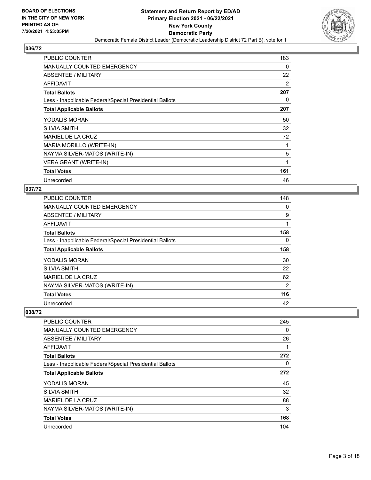

| <b>PUBLIC COUNTER</b>                                    | 183 |
|----------------------------------------------------------|-----|
| <b>MANUALLY COUNTED EMERGENCY</b>                        | 0   |
| ABSENTEE / MILITARY                                      | 22  |
| <b>AFFIDAVIT</b>                                         | 2   |
| <b>Total Ballots</b>                                     | 207 |
| Less - Inapplicable Federal/Special Presidential Ballots | 0   |
| <b>Total Applicable Ballots</b>                          | 207 |
| <b>YODALIS MORAN</b>                                     | 50  |
| <b>SILVIA SMITH</b>                                      | 32  |
| MARIEL DE LA CRUZ                                        | 72  |
| MARIA MORILLO (WRITE-IN)                                 |     |
| NAYMA SILVER-MATOS (WRITE-IN)                            | 5   |
| <b>VERA GRANT (WRITE-IN)</b>                             | 1   |
| <b>Total Votes</b>                                       | 161 |
| Unrecorded                                               | 46  |

# **037/72**

| <b>PUBLIC COUNTER</b>                                    | 148 |
|----------------------------------------------------------|-----|
| <b>MANUALLY COUNTED EMERGENCY</b>                        | 0   |
| ABSENTEE / MILITARY                                      | 9   |
| AFFIDAVIT                                                |     |
| <b>Total Ballots</b>                                     | 158 |
| Less - Inapplicable Federal/Special Presidential Ballots | 0   |
| <b>Total Applicable Ballots</b>                          | 158 |
| <b>YODALIS MORAN</b>                                     | 30  |
| <b>SILVIA SMITH</b>                                      | 22  |
| MARIEL DE LA CRUZ                                        | 62  |
| NAYMA SILVER-MATOS (WRITE-IN)                            | 2   |
| <b>Total Votes</b>                                       | 116 |
| Unrecorded                                               | 42  |

| <b>PUBLIC COUNTER</b>                                    | 245      |
|----------------------------------------------------------|----------|
| <b>MANUALLY COUNTED EMERGENCY</b>                        | 0        |
| ABSENTEE / MILITARY                                      | 26       |
| <b>AFFIDAVIT</b>                                         | 1        |
| <b>Total Ballots</b>                                     | 272      |
| Less - Inapplicable Federal/Special Presidential Ballots | $\Omega$ |
| <b>Total Applicable Ballots</b>                          | 272      |
| YODALIS MORAN                                            | 45       |
| <b>SILVIA SMITH</b>                                      | 32       |
| MARIEL DE LA CRUZ                                        | 88       |
| NAYMA SILVER-MATOS (WRITE-IN)                            | 3        |
| <b>Total Votes</b>                                       | 168      |
| Unrecorded                                               | 104      |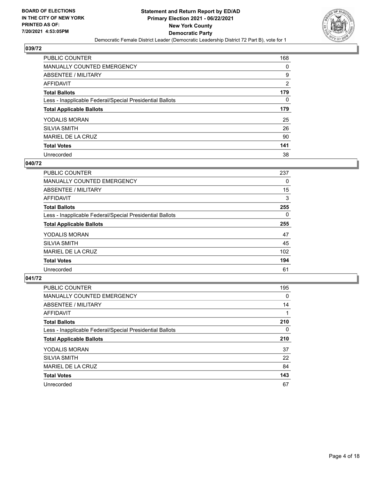

| PUBLIC COUNTER                                           | 168            |
|----------------------------------------------------------|----------------|
| MANUALLY COUNTED EMERGENCY                               | $\Omega$       |
| ABSENTEE / MILITARY                                      | 9              |
| AFFIDAVIT                                                | $\overline{2}$ |
| <b>Total Ballots</b>                                     | 179            |
| Less - Inapplicable Federal/Special Presidential Ballots | $\Omega$       |
| <b>Total Applicable Ballots</b>                          | 179            |
| YODALIS MORAN                                            | 25             |
| <b>SILVIA SMITH</b>                                      | 26             |
| MARIEL DE LA CRUZ                                        | 90             |
| <b>Total Votes</b>                                       | 141            |
| Unrecorded                                               | 38             |

## **040/72**

| <b>PUBLIC COUNTER</b>                                    | 237      |
|----------------------------------------------------------|----------|
| <b>MANUALLY COUNTED EMERGENCY</b>                        | 0        |
| ABSENTEE / MILITARY                                      | 15       |
| <b>AFFIDAVIT</b>                                         | 3        |
| <b>Total Ballots</b>                                     | 255      |
| Less - Inapplicable Federal/Special Presidential Ballots | $\Omega$ |
| <b>Total Applicable Ballots</b>                          | 255      |
| YODALIS MORAN                                            | 47       |
| <b>SILVIA SMITH</b>                                      | 45       |
| MARIEL DE LA CRUZ                                        | 102      |
| <b>Total Votes</b>                                       | 194      |
| Unrecorded                                               | 61       |

| <b>PUBLIC COUNTER</b>                                    | 195      |
|----------------------------------------------------------|----------|
| <b>MANUALLY COUNTED EMERGENCY</b>                        | 0        |
| ABSENTEE / MILITARY                                      | 14       |
| <b>AFFIDAVIT</b>                                         |          |
| <b>Total Ballots</b>                                     | 210      |
| Less - Inapplicable Federal/Special Presidential Ballots | $\Omega$ |
| <b>Total Applicable Ballots</b>                          | 210      |
| YODALIS MORAN                                            | 37       |
| <b>SILVIA SMITH</b>                                      | 22       |
| MARIEL DE LA CRUZ                                        | 84       |
| <b>Total Votes</b>                                       | 143      |
| Unrecorded                                               | 67       |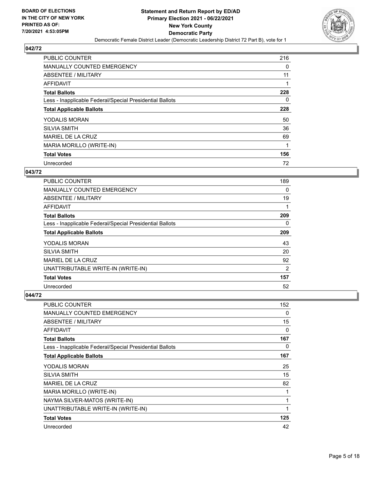

| <b>PUBLIC COUNTER</b>                                    | 216      |
|----------------------------------------------------------|----------|
| <b>MANUALLY COUNTED EMERGENCY</b>                        | 0        |
| ABSENTEE / MILITARY                                      | 11       |
| AFFIDAVIT                                                |          |
| <b>Total Ballots</b>                                     | 228      |
| Less - Inapplicable Federal/Special Presidential Ballots | $\Omega$ |
| <b>Total Applicable Ballots</b>                          | 228      |
| YODALIS MORAN                                            | 50       |
| <b>SILVIA SMITH</b>                                      | 36       |
| MARIEL DE LA CRUZ                                        | 69       |
| MARIA MORILLO (WRITE-IN)                                 | 1        |
| <b>Total Votes</b>                                       | 156      |
| Unrecorded                                               | 72       |

# **043/72**

| <b>PUBLIC COUNTER</b>                                    | 189 |
|----------------------------------------------------------|-----|
| <b>MANUALLY COUNTED EMERGENCY</b>                        | 0   |
| ABSENTEE / MILITARY                                      | 19  |
| AFFIDAVIT                                                |     |
| <b>Total Ballots</b>                                     | 209 |
| Less - Inapplicable Federal/Special Presidential Ballots | 0   |
| <b>Total Applicable Ballots</b>                          | 209 |
| <b>YODALIS MORAN</b>                                     | 43  |
| <b>SILVIA SMITH</b>                                      | 20  |
| MARIEL DE LA CRUZ                                        | 92  |
| UNATTRIBUTABLE WRITE-IN (WRITE-IN)                       | 2   |
| <b>Total Votes</b>                                       | 157 |
| Unrecorded                                               | 52  |

| <b>PUBLIC COUNTER</b>                                    | 152 |
|----------------------------------------------------------|-----|
| <b>MANUALLY COUNTED EMERGENCY</b>                        | 0   |
| ABSENTEE / MILITARY                                      | 15  |
| AFFIDAVIT                                                | 0   |
| <b>Total Ballots</b>                                     | 167 |
| Less - Inapplicable Federal/Special Presidential Ballots | 0   |
| <b>Total Applicable Ballots</b>                          | 167 |
| YODALIS MORAN                                            | 25  |
| <b>SILVIA SMITH</b>                                      | 15  |
| <b>MARIEL DE LA CRUZ</b>                                 | 82  |
| MARIA MORILLO (WRITE-IN)                                 | 1   |
| NAYMA SILVER-MATOS (WRITE-IN)                            | 1   |
| UNATTRIBUTABLE WRITE-IN (WRITE-IN)                       | 1   |
| <b>Total Votes</b>                                       | 125 |
| Unrecorded                                               | 42  |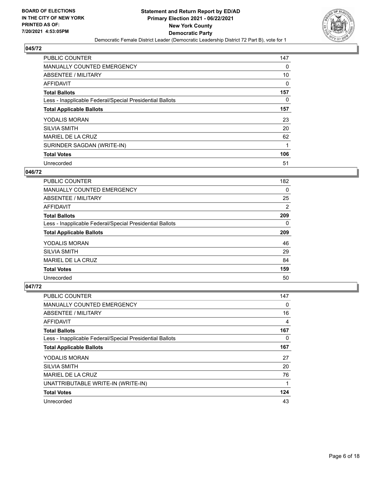

| <b>PUBLIC COUNTER</b>                                    | 147 |
|----------------------------------------------------------|-----|
| <b>MANUALLY COUNTED EMERGENCY</b>                        | 0   |
| ABSENTEE / MILITARY                                      | 10  |
| <b>AFFIDAVIT</b>                                         | 0   |
| <b>Total Ballots</b>                                     | 157 |
| Less - Inapplicable Federal/Special Presidential Ballots | 0   |
| <b>Total Applicable Ballots</b>                          | 157 |
| YODALIS MORAN                                            | 23  |
| <b>SILVIA SMITH</b>                                      | 20  |
| <b>MARIEL DE LA CRUZ</b>                                 | 62  |
| SURINDER SAGDAN (WRITE-IN)                               | 1   |
| <b>Total Votes</b>                                       | 106 |
| Unrecorded                                               | 51  |

# **046/72**

| <b>PUBLIC COUNTER</b>                                    | 182 |
|----------------------------------------------------------|-----|
| <b>MANUALLY COUNTED EMERGENCY</b>                        | 0   |
| ABSENTEE / MILITARY                                      | 25  |
| AFFIDAVIT                                                | 2   |
| <b>Total Ballots</b>                                     | 209 |
| Less - Inapplicable Federal/Special Presidential Ballots | 0   |
| <b>Total Applicable Ballots</b>                          | 209 |
| <b>YODALIS MORAN</b>                                     | 46  |
| <b>SILVIA SMITH</b>                                      | 29  |
| MARIEL DE LA CRUZ                                        | 84  |
| <b>Total Votes</b>                                       | 159 |
| Unrecorded                                               | 50  |

| <b>PUBLIC COUNTER</b>                                    | 147 |
|----------------------------------------------------------|-----|
| <b>MANUALLY COUNTED EMERGENCY</b>                        | 0   |
| ABSENTEE / MILITARY                                      | 16  |
| AFFIDAVIT                                                | 4   |
| <b>Total Ballots</b>                                     | 167 |
| Less - Inapplicable Federal/Special Presidential Ballots | 0   |
| <b>Total Applicable Ballots</b>                          | 167 |
| <b>YODALIS MORAN</b>                                     | 27  |
| <b>SILVIA SMITH</b>                                      | 20  |
| <b>MARIEL DE LA CRUZ</b>                                 | 76  |
| UNATTRIBUTABLE WRITE-IN (WRITE-IN)                       | 1   |
| <b>Total Votes</b>                                       | 124 |
| Unrecorded                                               | 43  |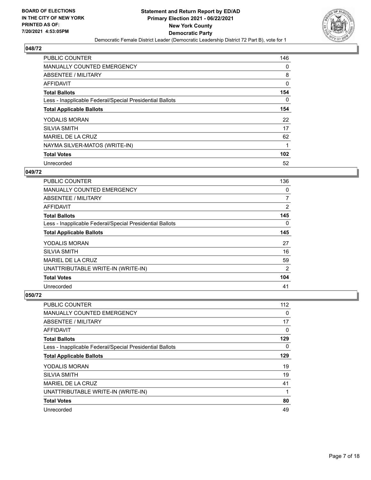

| <b>PUBLIC COUNTER</b>                                    | 146      |
|----------------------------------------------------------|----------|
| <b>MANUALLY COUNTED EMERGENCY</b>                        | 0        |
| ABSENTEE / MILITARY                                      | 8        |
| <b>AFFIDAVIT</b>                                         | 0        |
| <b>Total Ballots</b>                                     | 154      |
| Less - Inapplicable Federal/Special Presidential Ballots | $\Omega$ |
| <b>Total Applicable Ballots</b>                          | 154      |
| YODALIS MORAN                                            | 22       |
| <b>SILVIA SMITH</b>                                      | 17       |
| <b>MARIEL DE LA CRUZ</b>                                 | 62       |
| NAYMA SILVER-MATOS (WRITE-IN)                            | 1        |
| <b>Total Votes</b>                                       | 102      |
| Unrecorded                                               | 52       |

# **049/72**

| <b>PUBLIC COUNTER</b>                                    | 136            |
|----------------------------------------------------------|----------------|
| <b>MANUALLY COUNTED EMERGENCY</b>                        | 0              |
| ABSENTEE / MILITARY                                      | $\overline{7}$ |
| <b>AFFIDAVIT</b>                                         | 2              |
| <b>Total Ballots</b>                                     | 145            |
| Less - Inapplicable Federal/Special Presidential Ballots | 0              |
| <b>Total Applicable Ballots</b>                          | 145            |
| <b>YODALIS MORAN</b>                                     | 27             |
| <b>SILVIA SMITH</b>                                      | 16             |
| <b>MARIEL DE LA CRUZ</b>                                 | 59             |
| UNATTRIBUTABLE WRITE-IN (WRITE-IN)                       | 2              |
| <b>Total Votes</b>                                       | 104            |
| Unrecorded                                               | 41             |

| <b>PUBLIC COUNTER</b>                                    | 112      |
|----------------------------------------------------------|----------|
| <b>MANUALLY COUNTED EMERGENCY</b>                        | 0        |
| ABSENTEE / MILITARY                                      | 17       |
| AFFIDAVIT                                                | 0        |
| <b>Total Ballots</b>                                     | 129      |
| Less - Inapplicable Federal/Special Presidential Ballots | $\Omega$ |
| <b>Total Applicable Ballots</b>                          | 129      |
| <b>YODALIS MORAN</b>                                     | 19       |
| <b>SILVIA SMITH</b>                                      | 19       |
| MARIEL DE LA CRUZ                                        | 41       |
| UNATTRIBUTABLE WRITE-IN (WRITE-IN)                       | 1        |
| <b>Total Votes</b>                                       | 80       |
| Unrecorded                                               | 49       |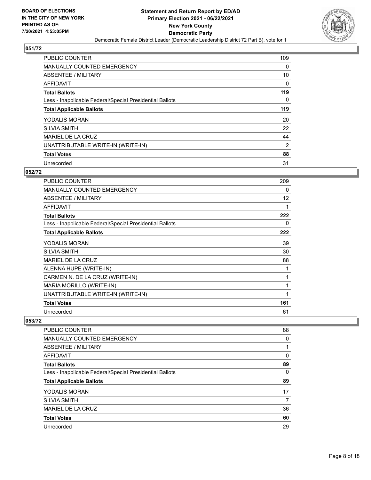

| <b>PUBLIC COUNTER</b>                                    | 109      |
|----------------------------------------------------------|----------|
| MANUALLY COUNTED EMERGENCY                               | $\Omega$ |
| ABSENTEE / MILITARY                                      | 10       |
| <b>AFFIDAVIT</b>                                         | 0        |
| <b>Total Ballots</b>                                     | 119      |
| Less - Inapplicable Federal/Special Presidential Ballots | $\Omega$ |
| <b>Total Applicable Ballots</b>                          | 119      |
| <b>YODALIS MORAN</b>                                     | 20       |
| <b>SILVIA SMITH</b>                                      | 22       |
| MARIEL DE LA CRUZ                                        | 44       |
| UNATTRIBUTABLE WRITE-IN (WRITE-IN)                       | 2        |
| <b>Total Votes</b>                                       | 88       |
| Unrecorded                                               | 31       |

## **052/72**

| PUBLIC COUNTER                                           | 209 |
|----------------------------------------------------------|-----|
| <b>MANUALLY COUNTED EMERGENCY</b>                        | 0   |
| ABSENTEE / MILITARY                                      | 12  |
| <b>AFFIDAVIT</b>                                         | 1   |
| <b>Total Ballots</b>                                     | 222 |
| Less - Inapplicable Federal/Special Presidential Ballots | 0   |
| <b>Total Applicable Ballots</b>                          | 222 |
| YODALIS MORAN                                            | 39  |
| <b>SILVIA SMITH</b>                                      | 30  |
| <b>MARIEL DE LA CRUZ</b>                                 | 88  |
| ALENNA HUPE (WRITE-IN)                                   | 1   |
| CARMEN N. DE LA CRUZ (WRITE-IN)                          | 1   |
| MARIA MORILLO (WRITE-IN)                                 | 1   |
| UNATTRIBUTABLE WRITE-IN (WRITE-IN)                       | 1   |
| <b>Total Votes</b>                                       | 161 |
| Unrecorded                                               | 61  |

| <b>PUBLIC COUNTER</b>                                    | 88 |
|----------------------------------------------------------|----|
| <b>MANUALLY COUNTED EMERGENCY</b>                        | 0  |
| ABSENTEE / MILITARY                                      |    |
| AFFIDAVIT                                                | 0  |
| <b>Total Ballots</b>                                     | 89 |
| Less - Inapplicable Federal/Special Presidential Ballots | 0  |
| <b>Total Applicable Ballots</b>                          | 89 |
| <b>YODALIS MORAN</b>                                     | 17 |
| <b>SILVIA SMITH</b>                                      | 7  |
| MARIEL DE LA CRUZ                                        | 36 |
| <b>Total Votes</b>                                       | 60 |
| Unrecorded                                               | 29 |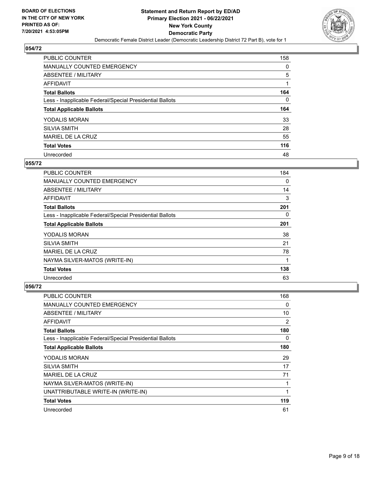

| PUBLIC COUNTER                                           | 158 |
|----------------------------------------------------------|-----|
| <b>MANUALLY COUNTED EMERGENCY</b>                        | 0   |
| ABSENTEE / MILITARY                                      | 5   |
| AFFIDAVIT                                                |     |
| <b>Total Ballots</b>                                     | 164 |
| Less - Inapplicable Federal/Special Presidential Ballots | 0   |
| <b>Total Applicable Ballots</b>                          | 164 |
| YODALIS MORAN                                            | 33  |
| <b>SILVIA SMITH</b>                                      | 28  |
| MARIEL DE LA CRUZ                                        | 55  |
| <b>Total Votes</b>                                       | 116 |
| Unrecorded                                               | 48  |

#### **055/72**

| <b>PUBLIC COUNTER</b>                                    | 184 |
|----------------------------------------------------------|-----|
| <b>MANUALLY COUNTED EMERGENCY</b>                        | 0   |
| ABSENTEE / MILITARY                                      | 14  |
| <b>AFFIDAVIT</b>                                         | 3   |
| <b>Total Ballots</b>                                     | 201 |
| Less - Inapplicable Federal/Special Presidential Ballots | 0   |
| <b>Total Applicable Ballots</b>                          | 201 |
| <b>YODALIS MORAN</b>                                     | 38  |
| <b>SILVIA SMITH</b>                                      | 21  |
| MARIEL DE LA CRUZ                                        | 78  |
| NAYMA SILVER-MATOS (WRITE-IN)                            | 1   |
| <b>Total Votes</b>                                       | 138 |
| Unrecorded                                               | 63  |

| <b>PUBLIC COUNTER</b>                                    | 168 |
|----------------------------------------------------------|-----|
| MANUALLY COUNTED EMERGENCY                               | 0   |
| ABSENTEE / MILITARY                                      | 10  |
| AFFIDAVIT                                                | 2   |
| <b>Total Ballots</b>                                     | 180 |
| Less - Inapplicable Federal/Special Presidential Ballots | 0   |
| <b>Total Applicable Ballots</b>                          | 180 |
| <b>YODALIS MORAN</b>                                     | 29  |
| <b>SILVIA SMITH</b>                                      | 17  |
| MARIEL DE LA CRUZ                                        | 71  |
| NAYMA SILVER-MATOS (WRITE-IN)                            | 1   |
| UNATTRIBUTABLE WRITE-IN (WRITE-IN)                       |     |
| <b>Total Votes</b>                                       | 119 |
| Unrecorded                                               | 61  |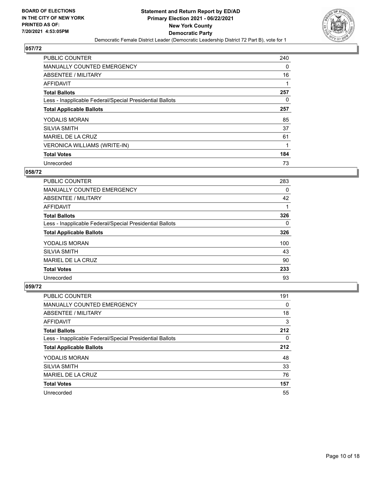

| PUBLIC COUNTER                                           | 240      |
|----------------------------------------------------------|----------|
| <b>MANUALLY COUNTED EMERGENCY</b>                        | $\Omega$ |
| ABSENTEE / MILITARY                                      | 16       |
| <b>AFFIDAVIT</b>                                         |          |
| <b>Total Ballots</b>                                     | 257      |
| Less - Inapplicable Federal/Special Presidential Ballots | 0        |
| <b>Total Applicable Ballots</b>                          | 257      |
| YODALIS MORAN                                            | 85       |
| <b>SILVIA SMITH</b>                                      | 37       |
| <b>MARIEL DE LA CRUZ</b>                                 | 61       |
| VERONICA WILLIAMS (WRITE-IN)                             |          |
| <b>Total Votes</b>                                       | 184      |
| Unrecorded                                               | 73       |

# **058/72**

| <b>PUBLIC COUNTER</b>                                    | 283 |
|----------------------------------------------------------|-----|
| <b>MANUALLY COUNTED EMERGENCY</b>                        | 0   |
| ABSENTEE / MILITARY                                      | 42  |
| AFFIDAVIT                                                |     |
| <b>Total Ballots</b>                                     | 326 |
| Less - Inapplicable Federal/Special Presidential Ballots | 0   |
| <b>Total Applicable Ballots</b>                          | 326 |
| YODALIS MORAN                                            | 100 |
| <b>SILVIA SMITH</b>                                      | 43  |
| MARIEL DE LA CRUZ                                        | 90  |
| <b>Total Votes</b>                                       | 233 |
| Unrecorded                                               | 93  |

| <b>PUBLIC COUNTER</b>                                    | 191      |
|----------------------------------------------------------|----------|
| <b>MANUALLY COUNTED EMERGENCY</b>                        | 0        |
| ABSENTEE / MILITARY                                      | 18       |
| AFFIDAVIT                                                | 3        |
| <b>Total Ballots</b>                                     | 212      |
| Less - Inapplicable Federal/Special Presidential Ballots | $\Omega$ |
| <b>Total Applicable Ballots</b>                          | 212      |
| <b>YODALIS MORAN</b>                                     | 48       |
| <b>SILVIA SMITH</b>                                      | 33       |
| MARIEL DE LA CRUZ                                        | 76       |
|                                                          |          |
| <b>Total Votes</b>                                       | 157      |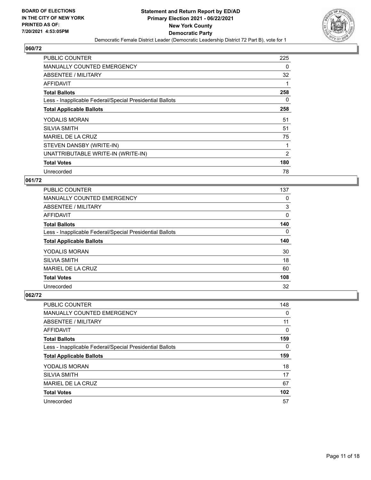

| <b>PUBLIC COUNTER</b>                                    | 225 |
|----------------------------------------------------------|-----|
| MANUALLY COUNTED EMERGENCY                               | 0   |
| ABSENTEE / MILITARY                                      | 32  |
| <b>AFFIDAVIT</b>                                         |     |
| <b>Total Ballots</b>                                     | 258 |
| Less - Inapplicable Federal/Special Presidential Ballots | 0   |
| <b>Total Applicable Ballots</b>                          | 258 |
| YODALIS MORAN                                            | 51  |
| <b>SILVIA SMITH</b>                                      | 51  |
| MARIEL DE LA CRUZ                                        | 75  |
| STEVEN DANSBY (WRITE-IN)                                 |     |
| UNATTRIBUTABLE WRITE-IN (WRITE-IN)                       | 2   |
| <b>Total Votes</b>                                       | 180 |
| Unrecorded                                               | 78  |

#### **061/72**

| <b>PUBLIC COUNTER</b>                                    | 137      |
|----------------------------------------------------------|----------|
| <b>MANUALLY COUNTED EMERGENCY</b>                        | 0        |
| ABSENTEE / MILITARY                                      | 3        |
| <b>AFFIDAVIT</b>                                         | 0        |
| <b>Total Ballots</b>                                     | 140      |
| Less - Inapplicable Federal/Special Presidential Ballots | $\Omega$ |
|                                                          |          |
| <b>Total Applicable Ballots</b>                          | 140      |
| YODALIS MORAN                                            | 30       |
| <b>SILVIA SMITH</b>                                      | 18       |
| MARIEL DE LA CRUZ                                        | 60       |
| <b>Total Votes</b>                                       | 108      |

| PUBLIC COUNTER                                           | 148 |
|----------------------------------------------------------|-----|
| <b>MANUALLY COUNTED EMERGENCY</b>                        | 0   |
| ABSENTEE / MILITARY                                      | 11  |
| AFFIDAVIT                                                | 0   |
| <b>Total Ballots</b>                                     | 159 |
| Less - Inapplicable Federal/Special Presidential Ballots | 0   |
|                                                          |     |
| <b>Total Applicable Ballots</b>                          | 159 |
| YODALIS MORAN                                            | 18  |
| <b>SILVIA SMITH</b>                                      | 17  |
| MARIEL DE LA CRUZ                                        | 67  |
| <b>Total Votes</b>                                       | 102 |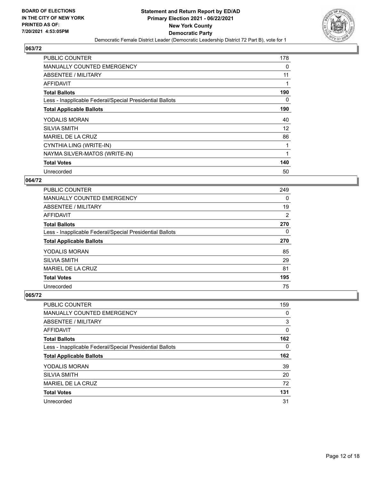

| <b>PUBLIC COUNTER</b>                                    | 178 |
|----------------------------------------------------------|-----|
| <b>MANUALLY COUNTED EMERGENCY</b>                        | 0   |
| ABSENTEE / MILITARY                                      | 11  |
| AFFIDAVIT                                                | 1   |
| <b>Total Ballots</b>                                     | 190 |
| Less - Inapplicable Federal/Special Presidential Ballots | 0   |
| <b>Total Applicable Ballots</b>                          | 190 |
| YODALIS MORAN                                            | 40  |
| <b>SILVIA SMITH</b>                                      | 12  |
| MARIEL DE LA CRUZ                                        | 86  |
| CYNTHIA LING (WRITE-IN)                                  |     |
| NAYMA SILVER-MATOS (WRITE-IN)                            |     |
| <b>Total Votes</b>                                       | 140 |
| Unrecorded                                               | 50  |

# **064/72**

| <b>PUBLIC COUNTER</b>                                    | 249      |
|----------------------------------------------------------|----------|
| MANUALLY COUNTED EMERGENCY                               | 0        |
| ABSENTEE / MILITARY                                      | 19       |
| <b>AFFIDAVIT</b>                                         | 2        |
| <b>Total Ballots</b>                                     | 270      |
| Less - Inapplicable Federal/Special Presidential Ballots | $\Omega$ |
| <b>Total Applicable Ballots</b>                          | 270      |
| <b>YODALIS MORAN</b>                                     | 85       |
| <b>SILVIA SMITH</b>                                      | 29       |
| MARIEL DE LA CRUZ                                        | 81       |
| <b>Total Votes</b>                                       | 195      |
| Unrecorded                                               | 75       |

| PUBLIC COUNTER                                           | 159 |
|----------------------------------------------------------|-----|
| <b>MANUALLY COUNTED EMERGENCY</b>                        | 0   |
| <b>ABSENTEE / MILITARY</b>                               | 3   |
| AFFIDAVIT                                                | 0   |
| <b>Total Ballots</b>                                     | 162 |
| Less - Inapplicable Federal/Special Presidential Ballots | 0   |
|                                                          |     |
| <b>Total Applicable Ballots</b>                          | 162 |
| <b>YODALIS MORAN</b>                                     | 39  |
| <b>SILVIA SMITH</b>                                      | 20  |
| MARIEL DE LA CRUZ                                        | 72  |
| <b>Total Votes</b>                                       | 131 |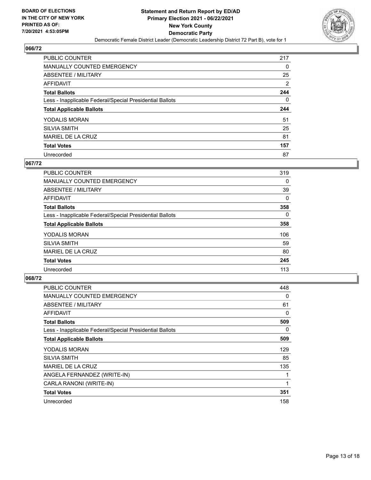

| PUBLIC COUNTER                                           | 217            |
|----------------------------------------------------------|----------------|
| <b>MANUALLY COUNTED EMERGENCY</b>                        | 0              |
| ABSENTEE / MILITARY                                      | 25             |
| AFFIDAVIT                                                | $\overline{2}$ |
| <b>Total Ballots</b>                                     | 244            |
| Less - Inapplicable Federal/Special Presidential Ballots | $\Omega$       |
| <b>Total Applicable Ballots</b>                          | 244            |
|                                                          |                |
| YODALIS MORAN                                            | 51             |
| <b>SILVIA SMITH</b>                                      | 25             |
| MARIEL DE LA CRUZ                                        | 81             |
| <b>Total Votes</b>                                       | 157            |

#### **067/72**

| <b>PUBLIC COUNTER</b>                                    | 319      |
|----------------------------------------------------------|----------|
| <b>MANUALLY COUNTED EMERGENCY</b>                        | 0        |
| ABSENTEE / MILITARY                                      | 39       |
| <b>AFFIDAVIT</b>                                         | $\Omega$ |
| <b>Total Ballots</b>                                     | 358      |
| Less - Inapplicable Federal/Special Presidential Ballots | $\Omega$ |
| <b>Total Applicable Ballots</b>                          | 358      |
| <b>YODALIS MORAN</b>                                     | 106      |
| <b>SILVIA SMITH</b>                                      | 59       |
| MARIEL DE LA CRUZ                                        | 80       |
| <b>Total Votes</b>                                       | 245      |
| Unrecorded                                               | 113      |

| <b>PUBLIC COUNTER</b>                                    | 448 |
|----------------------------------------------------------|-----|
| <b>MANUALLY COUNTED EMERGENCY</b>                        | 0   |
| ABSENTEE / MILITARY                                      | 61  |
| AFFIDAVIT                                                | 0   |
| <b>Total Ballots</b>                                     | 509 |
| Less - Inapplicable Federal/Special Presidential Ballots | 0   |
| <b>Total Applicable Ballots</b>                          | 509 |
| YODALIS MORAN                                            | 129 |
| <b>SILVIA SMITH</b>                                      | 85  |
| MARIEL DE LA CRUZ                                        | 135 |
| ANGELA FERNANDEZ (WRITE-IN)                              | 1   |
| CARLA RANONI (WRITE-IN)                                  | 1   |
| <b>Total Votes</b>                                       | 351 |
| Unrecorded                                               | 158 |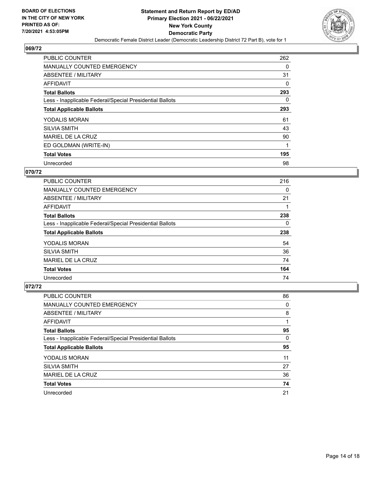

| PUBLIC COUNTER                                           | 262      |
|----------------------------------------------------------|----------|
| MANUALLY COUNTED EMERGENCY                               | 0        |
| ABSENTEE / MILITARY                                      | 31       |
| <b>AFFIDAVIT</b>                                         | 0        |
| <b>Total Ballots</b>                                     | 293      |
| Less - Inapplicable Federal/Special Presidential Ballots | $\Omega$ |
| <b>Total Applicable Ballots</b>                          | 293      |
| YODALIS MORAN                                            | 61       |
| <b>SILVIA SMITH</b>                                      | 43       |
| MARIEL DE LA CRUZ                                        | 90       |
| ED GOLDMAN (WRITE-IN)                                    |          |
| <b>Total Votes</b>                                       | 195      |
| Unrecorded                                               | 98       |

# **070/72**

| <b>PUBLIC COUNTER</b>                                    | 216 |
|----------------------------------------------------------|-----|
| <b>MANUALLY COUNTED EMERGENCY</b>                        | 0   |
| ABSENTEE / MILITARY                                      | 21  |
| <b>AFFIDAVIT</b>                                         |     |
| <b>Total Ballots</b>                                     | 238 |
| Less - Inapplicable Federal/Special Presidential Ballots | 0   |
| <b>Total Applicable Ballots</b>                          | 238 |
| YODALIS MORAN                                            | 54  |
| <b>SILVIA SMITH</b>                                      | 36  |
| MARIEL DE LA CRUZ                                        | 74  |
| <b>Total Votes</b>                                       | 164 |
| Unrecorded                                               | 74  |

| <b>PUBLIC COUNTER</b>                                    | 86       |
|----------------------------------------------------------|----------|
| <b>MANUALLY COUNTED EMERGENCY</b>                        | 0        |
| ABSENTEE / MILITARY                                      | 8        |
| AFFIDAVIT                                                |          |
| <b>Total Ballots</b>                                     | 95       |
| Less - Inapplicable Federal/Special Presidential Ballots | $\Omega$ |
| <b>Total Applicable Ballots</b>                          | 95       |
|                                                          |          |
| YODALIS MORAN                                            | 11       |
| <b>SILVIA SMITH</b>                                      | 27       |
| MARIEL DE LA CRUZ                                        | 36       |
| <b>Total Votes</b>                                       | 74       |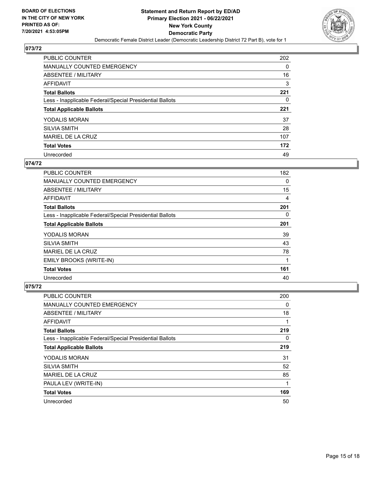

| PUBLIC COUNTER                                           | 202 |
|----------------------------------------------------------|-----|
| <b>MANUALLY COUNTED EMERGENCY</b>                        | 0   |
| ABSENTEE / MILITARY                                      | 16  |
| AFFIDAVIT                                                | 3   |
| <b>Total Ballots</b>                                     | 221 |
| Less - Inapplicable Federal/Special Presidential Ballots | 0   |
| <b>Total Applicable Ballots</b>                          | 221 |
| YODALIS MORAN                                            | 37  |
| <b>SILVIA SMITH</b>                                      | 28  |
| MARIEL DE LA CRUZ                                        | 107 |
| <b>Total Votes</b>                                       | 172 |
| Unrecorded                                               | 49  |

#### **074/72**

| <b>PUBLIC COUNTER</b>                                    | 182 |
|----------------------------------------------------------|-----|
| <b>MANUALLY COUNTED EMERGENCY</b>                        | 0   |
| <b>ABSENTEE / MILITARY</b>                               | 15  |
| <b>AFFIDAVIT</b>                                         | 4   |
| <b>Total Ballots</b>                                     | 201 |
| Less - Inapplicable Federal/Special Presidential Ballots | 0   |
| <b>Total Applicable Ballots</b>                          | 201 |
| YODALIS MORAN                                            | 39  |
| <b>SILVIA SMITH</b>                                      | 43  |
| MARIEL DE LA CRUZ                                        | 78  |
| EMILY BROOKS (WRITE-IN)                                  | 1   |
| <b>Total Votes</b>                                       | 161 |
| Unrecorded                                               | 40  |

| PUBLIC COUNTER                                           | 200      |
|----------------------------------------------------------|----------|
| <b>MANUALLY COUNTED EMERGENCY</b>                        | 0        |
| ABSENTEE / MILITARY                                      | 18       |
| AFFIDAVIT                                                | 1        |
| <b>Total Ballots</b>                                     | 219      |
| Less - Inapplicable Federal/Special Presidential Ballots | $\Omega$ |
| <b>Total Applicable Ballots</b>                          | 219      |
| YODALIS MORAN                                            | 31       |
| <b>SILVIA SMITH</b>                                      | 52       |
| MARIEL DE LA CRUZ                                        | 85       |
| PAULA LEV (WRITE-IN)                                     | 1        |
| <b>Total Votes</b>                                       | 169      |
| Unrecorded                                               | 50       |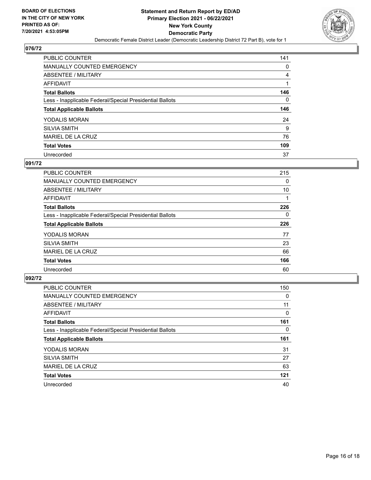

| <b>PUBLIC COUNTER</b>                                    | 141 |
|----------------------------------------------------------|-----|
| <b>MANUALLY COUNTED EMERGENCY</b>                        | 0   |
| ABSENTEE / MILITARY                                      | 4   |
| AFFIDAVIT                                                |     |
| <b>Total Ballots</b>                                     | 146 |
| Less - Inapplicable Federal/Special Presidential Ballots | 0   |
| <b>Total Applicable Ballots</b>                          | 146 |
| YODALIS MORAN                                            | 24  |
| <b>SILVIA SMITH</b>                                      | 9   |
| MARIEL DE LA CRUZ                                        | 76  |
| <b>Total Votes</b>                                       | 109 |
|                                                          |     |

#### **091/72**

| <b>PUBLIC COUNTER</b>                                    | 215 |
|----------------------------------------------------------|-----|
| <b>MANUALLY COUNTED EMERGENCY</b>                        | 0   |
| ABSENTEE / MILITARY                                      | 10  |
| <b>AFFIDAVIT</b>                                         |     |
| <b>Total Ballots</b>                                     | 226 |
| Less - Inapplicable Federal/Special Presidential Ballots | 0   |
| <b>Total Applicable Ballots</b>                          | 226 |
| YODALIS MORAN                                            | 77  |
| <b>SILVIA SMITH</b>                                      | 23  |
| <b>MARIEL DE LA CRUZ</b>                                 | 66  |
| <b>Total Votes</b>                                       | 166 |
| Unrecorded                                               | 60  |

| PUBLIC COUNTER                                           | 150      |
|----------------------------------------------------------|----------|
| <b>MANUALLY COUNTED EMERGENCY</b>                        | 0        |
| ABSENTEE / MILITARY                                      | 11       |
| <b>AFFIDAVIT</b>                                         | 0        |
| <b>Total Ballots</b>                                     | 161      |
| Less - Inapplicable Federal/Special Presidential Ballots | $\Omega$ |
| <b>Total Applicable Ballots</b>                          | 161      |
| YODALIS MORAN                                            | 31       |
| <b>SILVIA SMITH</b>                                      | 27       |
| MARIEL DE LA CRUZ                                        | 63       |
| <b>Total Votes</b>                                       | 121      |
| Unrecorded                                               | 40       |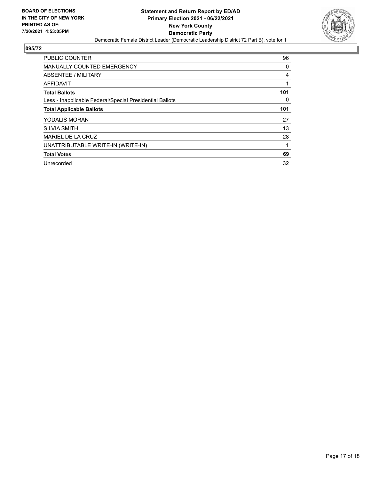

| <b>PUBLIC COUNTER</b>                                    | 96       |
|----------------------------------------------------------|----------|
| <b>MANUALLY COUNTED EMERGENCY</b>                        | 0        |
| ABSENTEE / MILITARY                                      | 4        |
| <b>AFFIDAVIT</b>                                         |          |
| <b>Total Ballots</b>                                     | 101      |
| Less - Inapplicable Federal/Special Presidential Ballots | $\Omega$ |
| <b>Total Applicable Ballots</b>                          | 101      |
| YODALIS MORAN                                            | 27       |
| <b>SILVIA SMITH</b>                                      | 13       |
| MARIEL DE LA CRUZ                                        | 28       |
| UNATTRIBUTABLE WRITE-IN (WRITE-IN)                       |          |
| <b>Total Votes</b>                                       | 69       |
| Unrecorded                                               | 32       |